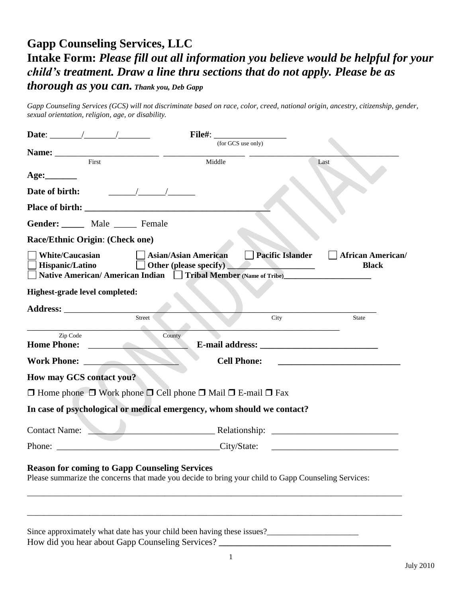# **Gapp Counseling Services, LLC Intake Form:** *Please fill out all information you believe would be helpful for your child's treatment. Draw a line thru sections that do not apply. Please be as thorough as you can. Thank you, Deb Gapp*

*Gapp Counseling Services (GCS) will not discriminate based on race, color, creed, national origin, ancestry, citizenship, gender, sexual orientation, religion, age, or disability.*

|                                                                                                                                                                                                                                |                                                                              |        | (for GCS use only)                                                                                                 |                                                 |
|--------------------------------------------------------------------------------------------------------------------------------------------------------------------------------------------------------------------------------|------------------------------------------------------------------------------|--------|--------------------------------------------------------------------------------------------------------------------|-------------------------------------------------|
| Name: First Theorem Contract of the Second Second Second Second Second Second Second Second Second Second Second Second Second Second Second Second Second Second Second Second Second Second Second Second Second Second Seco |                                                                              | Middle |                                                                                                                    | Last                                            |
|                                                                                                                                                                                                                                |                                                                              |        |                                                                                                                    |                                                 |
| Date of birth:                                                                                                                                                                                                                 | $\frac{1}{\sqrt{1-\frac{1}{2}}}\left( \frac{1}{\sqrt{1-\frac{1}{2}}}\right)$ |        |                                                                                                                    |                                                 |
|                                                                                                                                                                                                                                |                                                                              |        |                                                                                                                    |                                                 |
| Gender: Male _____ Female                                                                                                                                                                                                      |                                                                              |        |                                                                                                                    |                                                 |
| Race/Ethnic Origin: (Check one)                                                                                                                                                                                                |                                                                              |        |                                                                                                                    |                                                 |
| <b>White/Caucasian</b><br>Hispanic/Latino                                                                                                                                                                                      | <b>Asian/Asian American</b>                                                  |        | <b>Pacific Islander</b><br>Other (please specify)<br>Native American/American Indian Tribal Member (Name of Tribe) | <b>African American/</b><br><b>Black</b>        |
| Highest-grade level completed:                                                                                                                                                                                                 |                                                                              |        |                                                                                                                    |                                                 |
|                                                                                                                                                                                                                                |                                                                              |        |                                                                                                                    |                                                 |
|                                                                                                                                                                                                                                | Street                                                                       |        | City<br><u> 1980 - Johann Barbara, martxa alemaniar a</u>                                                          | <b>State</b>                                    |
| Zip Code<br><b>Home Phone:</b>                                                                                                                                                                                                 | County                                                                       |        |                                                                                                                    |                                                 |
| Work Phone:                                                                                                                                                                                                                    |                                                                              |        | <b>Cell Phone:</b>                                                                                                 | <u> 1980 - Andrea Barbara, poeta esperanto-</u> |
| How may GCS contact you?                                                                                                                                                                                                       |                                                                              |        |                                                                                                                    |                                                 |
| $\Box$ Home phone $\Box$ Work phone $\Box$ Cell phone $\Box$ Mail $\Box$ E-mail $\Box$ Fax                                                                                                                                     |                                                                              |        |                                                                                                                    |                                                 |
| In case of psychological or medical emergency, whom should we contact?                                                                                                                                                         |                                                                              |        |                                                                                                                    |                                                 |
| Contact Name:                                                                                                                                                                                                                  |                                                                              |        | <b>Example 2018</b> Relationship:                                                                                  |                                                 |
| Phone: City/State:                                                                                                                                                                                                             |                                                                              |        |                                                                                                                    |                                                 |
| <b>Reason for coming to Gapp Counseling Services</b><br>Please summarize the concerns that made you decide to bring your child to Gapp Counseling Services:                                                                    |                                                                              |        |                                                                                                                    |                                                 |
| Since approximately what date has your child been having these issues?                                                                                                                                                         |                                                                              |        |                                                                                                                    |                                                 |

How did you hear about Gapp Counseling Services? **\_\_\_\_\_\_\_\_\_\_\_\_\_\_\_\_\_\_\_\_\_\_\_\_\_\_\_\_\_\_\_\_\_\_\_\_\_\_**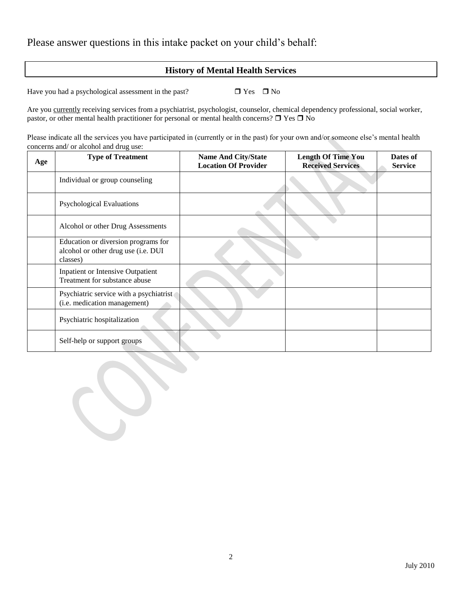Please answer questions in this intake packet on your child's behalf:

### **History of Mental Health Services**

Have you had a psychological assessment in the past?  $\Box$  Yes  $\Box$  No

Are you currently receiving services from a psychiatrist, psychologist, counselor, chemical dependency professional, social worker, pastor, or other mental health practitioner for personal or mental health concerns?  $\Box$  Yes  $\Box$  No

Please indicate all the services you have participated in (currently or in the past) for your own and/or someone else's mental health concerns and/ or alcohol and drug use:

| Age | <b>Type of Treatment</b>                                                               | <b>Name And City/State</b><br><b>Location Of Provider</b> | <b>Length Of Time You</b><br><b>Received Services</b> | Dates of<br><b>Service</b> |
|-----|----------------------------------------------------------------------------------------|-----------------------------------------------------------|-------------------------------------------------------|----------------------------|
|     | Individual or group counseling                                                         |                                                           |                                                       |                            |
|     | <b>Psychological Evaluations</b>                                                       |                                                           |                                                       |                            |
|     | Alcohol or other Drug Assessments                                                      |                                                           |                                                       |                            |
|     | Education or diversion programs for<br>alcohol or other drug use (i.e. DUI<br>classes) |                                                           |                                                       |                            |
|     | <b>Inpatient or Intensive Outpatient</b><br>Treatment for substance abuse              |                                                           |                                                       |                            |
|     | Psychiatric service with a psychiatrist<br>(i.e. medication management)                |                                                           |                                                       |                            |
|     | Psychiatric hospitalization                                                            |                                                           |                                                       |                            |
|     | Self-help or support groups                                                            |                                                           |                                                       |                            |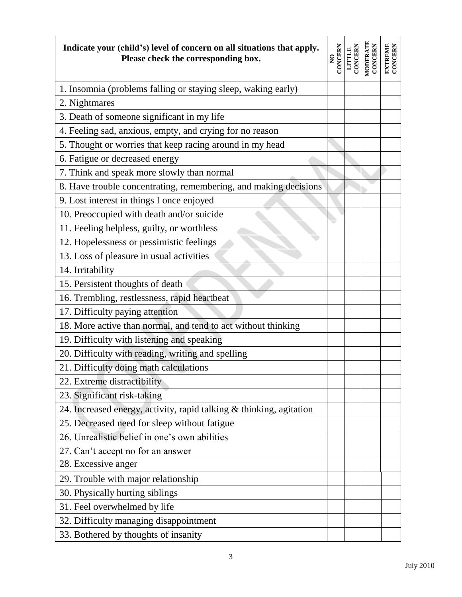| Indicate your (child's) level of concern on all situations that apply.<br>Please check the corresponding box. | <b>CONCERN</b><br>$\mathbf{S}$ | LITTLE<br>CONCERN | MODERATE<br>CONCERN | <b>EXTREME</b><br>CONCERN |
|---------------------------------------------------------------------------------------------------------------|--------------------------------|-------------------|---------------------|---------------------------|
| 1. Insomnia (problems falling or staying sleep, waking early)                                                 |                                |                   |                     |                           |
| 2. Nightmares                                                                                                 |                                |                   |                     |                           |
| 3. Death of someone significant in my life                                                                    |                                |                   |                     |                           |
| 4. Feeling sad, anxious, empty, and crying for no reason                                                      |                                |                   |                     |                           |
| 5. Thought or worries that keep racing around in my head                                                      |                                |                   |                     |                           |
| 6. Fatigue or decreased energy                                                                                |                                |                   |                     |                           |
| 7. Think and speak more slowly than normal                                                                    |                                |                   |                     |                           |
| 8. Have trouble concentrating, remembering, and making decisions                                              |                                |                   |                     |                           |
| 9. Lost interest in things I once enjoyed                                                                     |                                |                   |                     |                           |
| 10. Preoccupied with death and/or suicide                                                                     |                                |                   |                     |                           |
| 11. Feeling helpless, guilty, or worthless                                                                    |                                |                   |                     |                           |
| 12. Hopelessness or pessimistic feelings                                                                      |                                |                   |                     |                           |
| 13. Loss of pleasure in usual activities                                                                      |                                |                   |                     |                           |
| 14. Irritability                                                                                              |                                |                   |                     |                           |
| 15. Persistent thoughts of death                                                                              |                                |                   |                     |                           |
| 16. Trembling, restlessness, rapid heartbeat                                                                  |                                |                   |                     |                           |
| 17. Difficulty paying attention                                                                               |                                |                   |                     |                           |
| 18. More active than normal, and tend to act without thinking                                                 |                                |                   |                     |                           |
| 19. Difficulty with listening and speaking                                                                    |                                |                   |                     |                           |
| 20. Difficulty with reading, writing and spelling                                                             |                                |                   |                     |                           |
| 21. Difficulty doing math calculations                                                                        |                                |                   |                     |                           |
| 22. Extreme distractibility                                                                                   |                                |                   |                     |                           |
| 23. Significant risk-taking                                                                                   |                                |                   |                     |                           |
| 24. Increased energy, activity, rapid talking & thinking, agitation                                           |                                |                   |                     |                           |
| 25. Decreased need for sleep without fatigue                                                                  |                                |                   |                     |                           |
| 26. Unrealistic belief in one's own abilities                                                                 |                                |                   |                     |                           |
| 27. Can't accept no for an answer                                                                             |                                |                   |                     |                           |
| 28. Excessive anger                                                                                           |                                |                   |                     |                           |
| 29. Trouble with major relationship                                                                           |                                |                   |                     |                           |
| 30. Physically hurting siblings                                                                               |                                |                   |                     |                           |
| 31. Feel overwhelmed by life                                                                                  |                                |                   |                     |                           |
| 32. Difficulty managing disappointment                                                                        |                                |                   |                     |                           |
| 33. Bothered by thoughts of insanity                                                                          |                                |                   |                     |                           |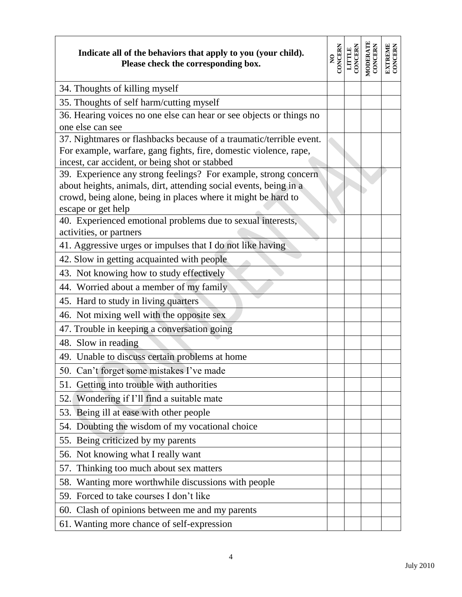| Indicate all of the behaviors that apply to you (your child).<br>Please check the corresponding box.              | <b>CONCERN</b><br>$\tilde{z}$ | LITTLE<br>CONCERN | MODERATE<br>CONCERN | <b>EXTREME</b><br>CONCERN |
|-------------------------------------------------------------------------------------------------------------------|-------------------------------|-------------------|---------------------|---------------------------|
| 34. Thoughts of killing myself                                                                                    |                               |                   |                     |                           |
| 35. Thoughts of self harm/cutting myself                                                                          |                               |                   |                     |                           |
| 36. Hearing voices no one else can hear or see objects or things no                                               |                               |                   |                     |                           |
| one else can see                                                                                                  |                               |                   |                     |                           |
| 37. Nightmares or flashbacks because of a traumatic/terrible event.                                               |                               |                   |                     |                           |
| For example, warfare, gang fights, fire, domestic violence, rape,                                                 |                               |                   |                     |                           |
| incest, car accident, or being shot or stabbed<br>39. Experience any strong feelings? For example, strong concern |                               |                   |                     |                           |
| about heights, animals, dirt, attending social events, being in a                                                 |                               |                   |                     |                           |
| crowd, being alone, being in places where it might be hard to                                                     |                               |                   |                     |                           |
| escape or get help                                                                                                |                               |                   |                     |                           |
| 40. Experienced emotional problems due to sexual interests,                                                       |                               |                   |                     |                           |
| activities, or partners                                                                                           |                               |                   |                     |                           |
| 41. Aggressive urges or impulses that I do not like having                                                        |                               |                   |                     |                           |
| 42. Slow in getting acquainted with people                                                                        |                               |                   |                     |                           |
| 43. Not knowing how to study effectively                                                                          |                               |                   |                     |                           |
| 44. Worried about a member of my family                                                                           |                               |                   |                     |                           |
| 45. Hard to study in living quarters                                                                              |                               |                   |                     |                           |
| 46. Not mixing well with the opposite sex                                                                         |                               |                   |                     |                           |
| 47. Trouble in keeping a conversation going                                                                       |                               |                   |                     |                           |
| 48. Slow in reading                                                                                               |                               |                   |                     |                           |
| 49. Unable to discuss certain problems at home                                                                    |                               |                   |                     |                           |
| 50. Can't forget some mistakes I've made                                                                          |                               |                   |                     |                           |
| 51. Getting into trouble with authorities                                                                         |                               |                   |                     |                           |
| 52. Wondering if I'll find a suitable mate                                                                        |                               |                   |                     |                           |
| 53. Being ill at ease with other people                                                                           |                               |                   |                     |                           |
| 54. Doubting the wisdom of my vocational choice                                                                   |                               |                   |                     |                           |
| 55. Being criticized by my parents                                                                                |                               |                   |                     |                           |
| 56. Not knowing what I really want                                                                                |                               |                   |                     |                           |
| 57. Thinking too much about sex matters                                                                           |                               |                   |                     |                           |
| 58. Wanting more worthwhile discussions with people                                                               |                               |                   |                     |                           |
| 59. Forced to take courses I don't like                                                                           |                               |                   |                     |                           |
| 60. Clash of opinions between me and my parents                                                                   |                               |                   |                     |                           |
| 61. Wanting more chance of self-expression                                                                        |                               |                   |                     |                           |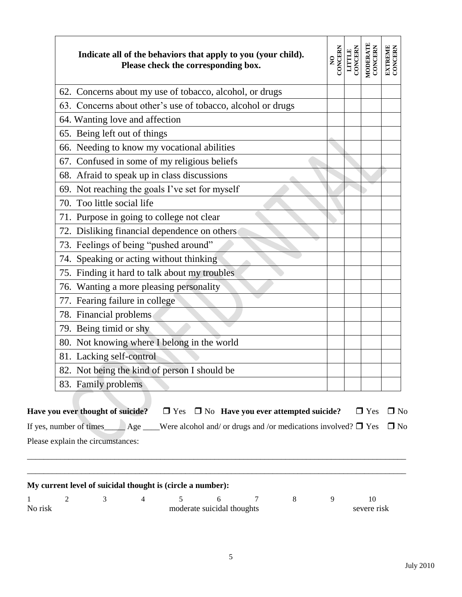| Indicate all of the behaviors that apply to you (your child).<br>Please check the corresponding box. | <b>CONCERN</b><br>$\overline{\mathbf{z}}$ | CONCERN<br><b>LITTLE</b> | MODERATE<br>CONCERN | EXTREME<br>CONCERN |
|------------------------------------------------------------------------------------------------------|-------------------------------------------|--------------------------|---------------------|--------------------|
| 62. Concerns about my use of tobacco, alcohol, or drugs                                              |                                           |                          |                     |                    |
| 63. Concerns about other's use of tobacco, alcohol or drugs                                          |                                           |                          |                     |                    |
| 64. Wanting love and affection                                                                       |                                           |                          |                     |                    |
| 65. Being left out of things                                                                         |                                           |                          |                     |                    |
| 66. Needing to know my vocational abilities                                                          |                                           |                          |                     |                    |
| 67. Confused in some of my religious beliefs                                                         |                                           |                          |                     |                    |
| 68. Afraid to speak up in class discussions                                                          |                                           |                          |                     |                    |
| 69. Not reaching the goals I've set for myself                                                       |                                           |                          |                     |                    |
| 70. Too little social life                                                                           |                                           |                          |                     |                    |
| 71. Purpose in going to college not clear                                                            |                                           |                          |                     |                    |
| 72. Disliking financial dependence on others                                                         |                                           |                          |                     |                    |
| 73. Feelings of being "pushed around"                                                                |                                           |                          |                     |                    |
| 74. Speaking or acting without thinking                                                              |                                           |                          |                     |                    |
| 75. Finding it hard to talk about my troubles                                                        |                                           |                          |                     |                    |
| 76. Wanting a more pleasing personality                                                              |                                           |                          |                     |                    |
| 77. Fearing failure in college                                                                       |                                           |                          |                     |                    |
| 78. Financial problems                                                                               |                                           |                          |                     |                    |
| 79. Being timid or shy                                                                               |                                           |                          |                     |                    |
| 80. Not knowing where I belong in the world                                                          |                                           |                          |                     |                    |
| 81. Lacking self-control                                                                             |                                           |                          |                     |                    |
| 82. Not being the kind of person I should be                                                         |                                           |                          |                     |                    |
| 83. Family problems                                                                                  |                                           |                          |                     |                    |

| No risk |  |  | moderate suicidal thoughts |  | severe risk |
|---------|--|--|----------------------------|--|-------------|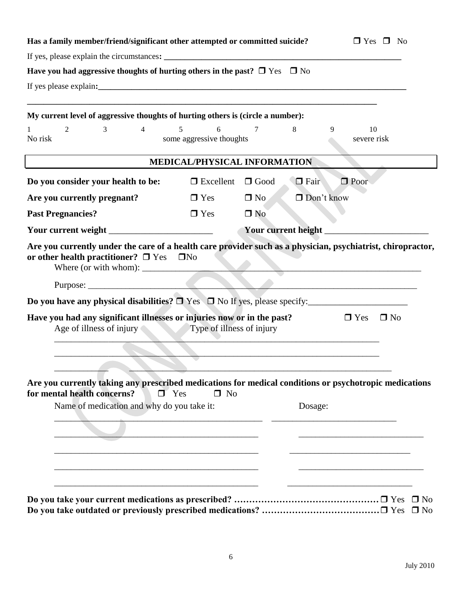| Has a family member/friend/significant other attempted or committed suicide?                                                                                                                              | $\Box$ Yes $\Box$ No               |                       |             |                         |  |  |  |  |  |
|-----------------------------------------------------------------------------------------------------------------------------------------------------------------------------------------------------------|------------------------------------|-----------------------|-------------|-------------------------|--|--|--|--|--|
|                                                                                                                                                                                                           |                                    |                       |             |                         |  |  |  |  |  |
| Have you had aggressive thoughts of hurting others in the past? $\Box$ Yes $\Box$ No                                                                                                                      |                                    |                       |             |                         |  |  |  |  |  |
|                                                                                                                                                                                                           |                                    |                       |             |                         |  |  |  |  |  |
| My current level of aggressive thoughts of hurting others is (circle a number):                                                                                                                           |                                    |                       |             |                         |  |  |  |  |  |
| 2<br>3<br>$\overline{4}$<br>No risk                                                                                                                                                                       | 5<br>6<br>some aggressive thoughts | 7                     | 8           | 10<br>9<br>severe risk  |  |  |  |  |  |
|                                                                                                                                                                                                           | MEDICAL/PHYSICAL INFORMATION       |                       |             |                         |  |  |  |  |  |
| Do you consider your health to be:                                                                                                                                                                        | $\Box$ Excellent                   | $\Box$ Good           | $\Box$ Fair | $\Box$ Poor             |  |  |  |  |  |
| Are you currently pregnant?                                                                                                                                                                               | $\Box$ Yes                         | $\Box$ No             | Don't know  |                         |  |  |  |  |  |
| <b>Past Pregnancies?</b>                                                                                                                                                                                  | $\Box$ Yes                         | $\Box$ No             |             |                         |  |  |  |  |  |
|                                                                                                                                                                                                           |                                    | Your current height _ |             |                         |  |  |  |  |  |
| or other health practitioner? $\square$ Yes<br>Where (or with whom):                                                                                                                                      | $\square$ No                       |                       |             |                         |  |  |  |  |  |
| Do you have any physical disabilities? $\Box$ Yes $\Box$ No If yes, please specify:                                                                                                                       |                                    |                       |             |                         |  |  |  |  |  |
| Have you had any significant illnesses or injuries now or in the past?<br>Age of illness of injury                                                                                                        | Type of illness of injury          |                       |             | $\Box$ Yes<br>$\Box$ No |  |  |  |  |  |
| Are you currently taking any prescribed medications for medical conditions or psychotropic medications<br>for mental health concerns?<br>$\blacksquare$ Yes<br>Name of medication and why do you take it: | $\Box$ No                          |                       | Dosage:     |                         |  |  |  |  |  |
|                                                                                                                                                                                                           |                                    |                       |             |                         |  |  |  |  |  |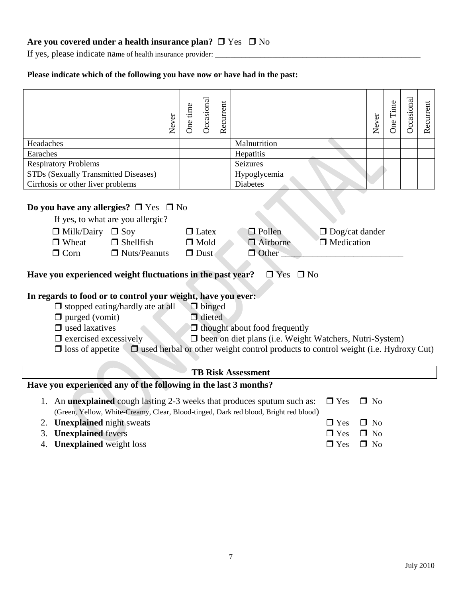## Are you covered under a health insurance plan?  $\Box$  Yes  $\Box$  No

If yes, please indicate name of health insurance provider: \_\_\_\_\_\_\_\_\_\_\_\_\_\_\_\_\_\_\_\_\_

#### **Please indicate which of the following you have now or have had in the past:**

|                                                                                                                                                                                                                                                                                                                                                                                                                                                         | Never | One time | Occasional | Recurrent |                           |                                        | Never                               | One Time | Occasional | Recurrent |
|---------------------------------------------------------------------------------------------------------------------------------------------------------------------------------------------------------------------------------------------------------------------------------------------------------------------------------------------------------------------------------------------------------------------------------------------------------|-------|----------|------------|-----------|---------------------------|----------------------------------------|-------------------------------------|----------|------------|-----------|
| Headaches                                                                                                                                                                                                                                                                                                                                                                                                                                               |       |          |            |           | Malnutrition              |                                        |                                     |          |            |           |
| Earaches                                                                                                                                                                                                                                                                                                                                                                                                                                                |       |          |            |           | Hepatitis                 |                                        |                                     |          |            |           |
| <b>Respiratory Problems</b>                                                                                                                                                                                                                                                                                                                                                                                                                             |       |          |            |           | Seizures                  |                                        |                                     |          |            |           |
| STDs (Sexually Transmitted Diseases)                                                                                                                                                                                                                                                                                                                                                                                                                    |       |          |            |           | Hypoglycemia              |                                        |                                     |          |            |           |
| Cirrhosis or other liver problems                                                                                                                                                                                                                                                                                                                                                                                                                       |       |          |            |           | <b>Diabetes</b>           |                                        |                                     |          |            |           |
| Do you have any allergies? $\Box$ Yes $\Box$ No<br>If yes, to what are you allergic?<br>$\Box$ Milk/Dairy<br>$\Box$ Soy<br>$\Box$ Pollen<br>$\Box$ Latex<br>$\Box$ Dog/cat dander<br>$\Box$ Shellfish<br>$\Box$ Wheat<br>$\Box$ Mold<br>$\Box$ Airborne<br>$\Box$ Medication<br>$\Box$ Corn<br>$\Box$ Nuts/Peanuts<br>$\Box$ Dust<br>$\Box$ Other                                                                                                       |       |          |            |           |                           |                                        |                                     |          |            |           |
| Have you experienced weight fluctuations in the past year?                                                                                                                                                                                                                                                                                                                                                                                              |       |          |            |           | $\Box$ Yes $\Box$ No      |                                        |                                     |          |            |           |
| In regards to food or to control your weight, have you ever:<br>$\Box$ stopped eating/hardly ate at all<br>$\Box$ binged<br>$\Box$ purged (vomit)<br>$\Box$ dieted<br>$\Box$ used laxatives<br>$\Box$ thought about food frequently<br>D been on diet plans (i.e. Weight Watchers, Nutri-System)<br>$\Box$ exercised excessively<br>$\Box$ used herbal or other weight control products to control weight (i.e. Hydroxy Cut)<br>$\Box$ loss of appetite |       |          |            |           |                           |                                        |                                     |          |            |           |
|                                                                                                                                                                                                                                                                                                                                                                                                                                                         |       |          |            |           | <b>TB Risk Assessment</b> |                                        |                                     |          |            |           |
| Have you experienced any of the following in the last 3 months?                                                                                                                                                                                                                                                                                                                                                                                         |       |          |            |           |                           |                                        |                                     |          |            |           |
| 1. An <b>unexplained</b> cough lasting 2-3 weeks that produces sputum such as:<br>(Green, Yellow, White-Creamy, Clear, Blood-tinged, Dark red blood, Bright red blood)<br><b>Unexplained</b> night sweats<br>2.<br>3. <b>Unexplained</b> fevers                                                                                                                                                                                                         |       |          |            |           |                           | $\Box$ Yes<br>$\Box$ Yes<br>$\Box$ Yes | $\Box$ No<br>$\Box$ No<br>$\Box$ No |          |            |           |

4. **Unexplained** weight loss  $\Box$  Yes  $\Box$  No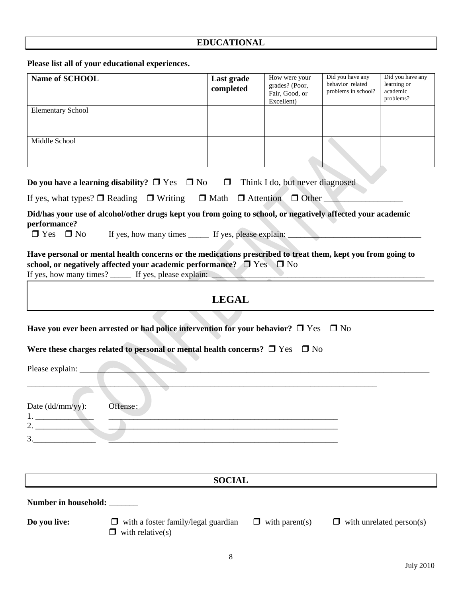# **EDUCATIONAL**

**Please list all of your educational experiences.**

| Name of SCHOOL                       |                                                                                                                                                                                                                                                         | Last grade<br>completed | How were your<br>grades? (Poor,<br>Fair, Good, or<br>Excellent) | Did you have any<br>behavior related<br>problems in school? | Did you have any<br>learning or<br>academic<br>problems? |
|--------------------------------------|---------------------------------------------------------------------------------------------------------------------------------------------------------------------------------------------------------------------------------------------------------|-------------------------|-----------------------------------------------------------------|-------------------------------------------------------------|----------------------------------------------------------|
| <b>Elementary School</b>             |                                                                                                                                                                                                                                                         |                         |                                                                 |                                                             |                                                          |
| Middle School                        |                                                                                                                                                                                                                                                         |                         |                                                                 |                                                             |                                                          |
|                                      | <b>Do you have a learning disability?</b> $\Box$ Yes $\Box$ No $\Box$ Think I do, but never diagnosed                                                                                                                                                   |                         |                                                                 |                                                             |                                                          |
|                                      | If yes, what types? $\Box$ Reading $\Box$ Writing $\Box$ Math $\Box$ Attention $\Box$ Other                                                                                                                                                             |                         |                                                                 |                                                             |                                                          |
| performance?<br>$\Box$ Yes $\Box$ No | Did/has your use of alcohol/other drugs kept you from going to school, or negatively affected your academic                                                                                                                                             |                         |                                                                 |                                                             |                                                          |
|                                      | Have personal or mental health concerns or the medications prescribed to treat them, kept you from going to<br>school, or negatively affected your academic performance? $\Box$ Yes $\Box$ No<br>If yes, how many times? ______ If yes, please explain: | <b>LEGAL</b>            |                                                                 |                                                             |                                                          |
| Please explain:                      | Have you ever been arrested or had police intervention for your behavior? $\Box$ Yes $\Box$ No<br>Were these charges related to personal or mental health concerns? $\Box$ Yes $\Box$ No                                                                |                         |                                                                 |                                                             |                                                          |
| Date $(dd/mm/yy)$ :<br>1.<br>2.      | Offense:                                                                                                                                                                                                                                                |                         |                                                                 |                                                             |                                                          |
|                                      |                                                                                                                                                                                                                                                         |                         |                                                                 |                                                             |                                                          |
|                                      |                                                                                                                                                                                                                                                         | <b>SOCIAL</b>           |                                                                 |                                                             |                                                          |
| Number in household: _______         |                                                                                                                                                                                                                                                         |                         |                                                                 |                                                             |                                                          |
| Do you live:                         | $\Box$ with a foster family/legal guardian<br>with relative(s)<br>⊔                                                                                                                                                                                     |                         | $\Box$ with parent(s)                                           |                                                             | $\Box$ with unrelated person(s)                          |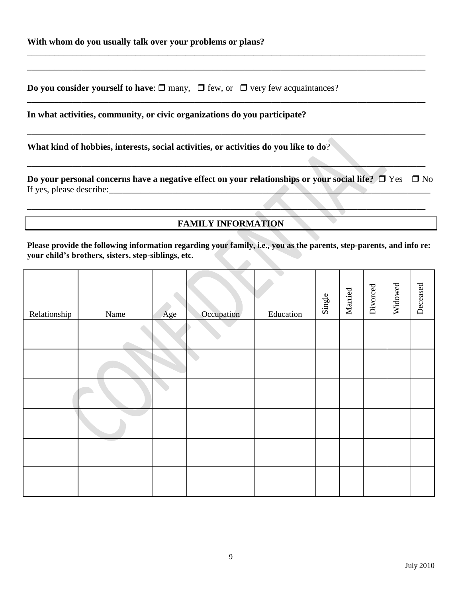**Do you consider yourself to have:**  $\Box$  many,  $\Box$  few, or  $\Box$  very few acquaintances?

**In what activities, community, or civic organizations do you participate?** 

**What kind of hobbies, interests, social activities, or activities do you like to do**?

**Do your personal concerns have a negative effect on your relationships or your social life?**  $\Box$  Yes  $\Box$  No If yes, please describe:\_\_\_\_\_\_\_\_\_\_\_\_\_\_\_\_\_\_\_\_\_\_\_\_\_\_\_\_\_\_\_\_\_\_\_\_\_\_\_\_\_\_\_\_\_\_\_\_\_\_\_\_\_\_\_\_\_\_\_\_\_\_\_\_\_\_\_\_\_\_\_

\_\_\_\_\_\_\_\_\_\_\_\_\_\_\_\_\_\_\_\_\_\_\_\_\_\_\_\_\_\_\_\_\_\_\_\_\_\_\_\_\_\_\_\_\_\_\_\_\_\_\_\_\_\_\_\_\_\_\_\_\_\_\_\_\_\_\_\_\_\_\_\_\_\_\_\_\_\_\_\_\_\_\_\_\_\_\_\_ \_\_\_\_\_\_\_\_\_\_\_\_\_\_\_\_\_\_\_\_\_\_\_\_\_\_\_\_\_\_\_\_\_\_\_\_\_\_\_\_\_\_\_\_\_\_\_\_\_\_\_\_\_\_\_\_\_\_\_\_\_\_\_\_\_\_\_\_\_\_\_\_\_\_\_\_\_\_\_\_\_\_\_\_\_\_\_\_

**\_\_\_\_\_\_\_\_\_\_\_\_\_\_\_\_\_\_\_\_\_\_\_\_\_\_\_\_\_\_\_\_\_\_\_\_\_\_\_\_\_\_\_\_\_\_\_\_\_\_\_\_\_\_\_\_\_\_\_\_\_\_\_\_\_\_\_\_\_\_\_\_\_\_\_\_\_\_\_\_\_\_\_\_\_\_\_\_**

\_\_\_\_\_\_\_\_\_\_\_\_\_\_\_\_\_\_\_\_\_\_\_\_\_\_\_\_\_\_\_\_\_\_\_\_\_\_\_\_\_\_\_\_\_\_\_\_\_\_\_\_\_\_\_\_\_\_\_\_\_\_\_\_\_\_\_\_\_\_\_\_\_\_\_\_\_\_\_\_\_\_\_\_\_\_\_\_

 $\mathcal{L}_\mathcal{L} = \mathcal{L}_\mathcal{L} = \mathcal{L}_\mathcal{L} = \mathcal{L}_\mathcal{L} = \mathcal{L}_\mathcal{L} = \mathcal{L}_\mathcal{L} = \mathcal{L}_\mathcal{L} = \mathcal{L}_\mathcal{L} = \mathcal{L}_\mathcal{L} = \mathcal{L}_\mathcal{L} = \mathcal{L}_\mathcal{L} = \mathcal{L}_\mathcal{L} = \mathcal{L}_\mathcal{L} = \mathcal{L}_\mathcal{L} = \mathcal{L}_\mathcal{L} = \mathcal{L}_\mathcal{L} = \mathcal{L}_\mathcal{L}$ 

 $\mathcal{L} = \{ \mathcal{L} \mid \mathcal{L} \mid \mathcal{L} \mid \mathcal{L} \mid \mathcal{L} \mid \mathcal{L} \mid \mathcal{L} \mid \mathcal{L} \mid \mathcal{L} \mid \mathcal{L} \mid \mathcal{L} \mid \mathcal{L} \mid \mathcal{L} \mid \mathcal{L} \mid \mathcal{L} \mid \mathcal{L} \mid \mathcal{L} \mid \mathcal{L} \mid \mathcal{L} \mid \mathcal{L} \mid \mathcal{L} \mid \mathcal{L} \mid \mathcal{L} \mid \mathcal{L} \mid \mathcal{L} \mid \mathcal{L} \mid \mathcal$ 

**FAMILY INFORMATION**

**Please provide the following information regarding your family, i.e., you as the parents, step-parents, and info re: your child's brothers, sisters, step-siblings, etc.** 

| Relationship | Name | Age | Occupation | Education | Single | Married | Divorced | Widowed | Deceased |
|--------------|------|-----|------------|-----------|--------|---------|----------|---------|----------|
|              |      |     |            |           |        |         |          |         |          |
|              |      |     |            |           |        |         |          |         |          |
|              |      |     |            |           |        |         |          |         |          |
|              |      |     |            |           |        |         |          |         |          |
|              |      |     |            |           |        |         |          |         |          |
|              |      |     |            |           |        |         |          |         |          |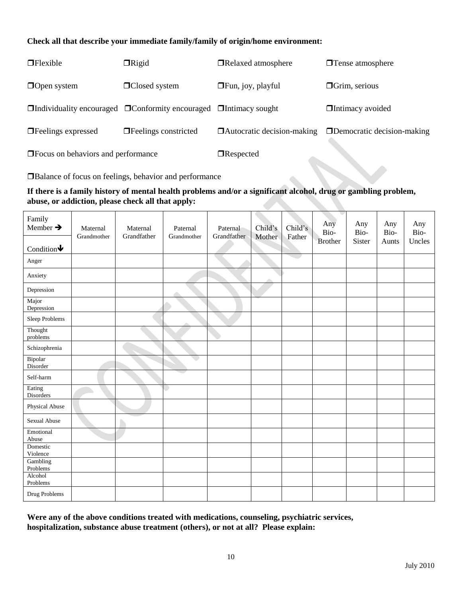#### **Check all that describe your immediate family/family of origin/home environment:**

| $\Box$ Flexible                                                                                                                                                                                                                      | $\Box$ Rigid                                                                        | □Relaxed atmosphere               | <b>T</b> ense atmosphere          |
|--------------------------------------------------------------------------------------------------------------------------------------------------------------------------------------------------------------------------------------|-------------------------------------------------------------------------------------|-----------------------------------|-----------------------------------|
| $\Box$ Open system                                                                                                                                                                                                                   | $\Box$ Closed system                                                                | $\Box$ Fun, joy, playful          | $\Box$ Grim, serious              |
|                                                                                                                                                                                                                                      | $\Box$ Individuality encouraged $\Box$ Conformity encouraged $\Box$ Intimacy sought |                                   | $\Box$ Intimacy avoided           |
| $\Box$ Feelings expressed                                                                                                                                                                                                            | $\Box$ Feelings constricted                                                         | $\Box$ Autocratic decision-making | $\Box$ Democratic decision-making |
| <b>The Set of Separate Set of Set of Set of Set of Set of Set of Set of Set of Set of Set of Set of Set of Set of Set of Set of Set of Set of Set of Set of Set of Set of Set of Set of Set of Set of Set of Set of Set of Set o</b> |                                                                                     | $\Box$ Respected                  |                                   |

Balance of focus on feelings, behavior and performance

#### **If there is a family history of mental health problems and/or a significant alcohol, drug or gambling problem, abuse, or addiction, please check all that apply:**

| Family<br>Member $\rightarrow$<br>Condition $\blacklozenge$ | Maternal<br>Grandmother | Maternal<br>Grandfather | Paternal<br>Grandmother | Paternal<br>Grandfather | Child's<br>Mother | Child's<br>Father | $\overline{\phantom{a}}$<br>Any<br>Bio-<br><b>Brother</b> | Any<br>Bio-<br>Sister | Any<br>Bio-<br>Aunts | Any<br>Bio-<br>Uncles |
|-------------------------------------------------------------|-------------------------|-------------------------|-------------------------|-------------------------|-------------------|-------------------|-----------------------------------------------------------|-----------------------|----------------------|-----------------------|
| Anger                                                       |                         |                         |                         |                         |                   |                   |                                                           |                       |                      |                       |
| Anxiety                                                     |                         |                         |                         |                         | △                 |                   |                                                           |                       |                      |                       |
| Depression                                                  |                         |                         |                         |                         |                   |                   |                                                           |                       |                      |                       |
| Major<br>Depression                                         |                         |                         |                         |                         |                   |                   |                                                           |                       |                      |                       |
| Sleep Problems                                              |                         |                         |                         |                         |                   |                   |                                                           |                       |                      |                       |
| Thought<br>problems                                         |                         |                         |                         |                         |                   |                   |                                                           |                       |                      |                       |
| Schizophrenia                                               |                         |                         |                         |                         |                   |                   |                                                           |                       |                      |                       |
| Bipolar<br>Disorder                                         |                         |                         |                         |                         |                   |                   |                                                           |                       |                      |                       |
| Self-harm                                                   |                         |                         |                         |                         |                   |                   |                                                           |                       |                      |                       |
| Eating<br>Disorders                                         |                         |                         |                         |                         |                   |                   |                                                           |                       |                      |                       |
| Physical Abuse                                              |                         |                         |                         |                         |                   |                   |                                                           |                       |                      |                       |
| Sexual Abuse                                                |                         |                         |                         |                         |                   |                   |                                                           |                       |                      |                       |
| Emotional<br>$\,$ Abuse                                     |                         |                         |                         |                         |                   |                   |                                                           |                       |                      |                       |
| Domestic<br>Violence                                        |                         |                         |                         |                         |                   |                   |                                                           |                       |                      |                       |
| Gambling<br>Problems                                        |                         |                         |                         |                         |                   |                   |                                                           |                       |                      |                       |
| Alcohol<br>Problems                                         |                         |                         |                         |                         |                   |                   |                                                           |                       |                      |                       |
| Drug Problems                                               |                         |                         |                         |                         |                   |                   |                                                           |                       |                      |                       |

**Were any of the above conditions treated with medications, counseling, psychiatric services, hospitalization, substance abuse treatment (others), or not at all? Please explain:**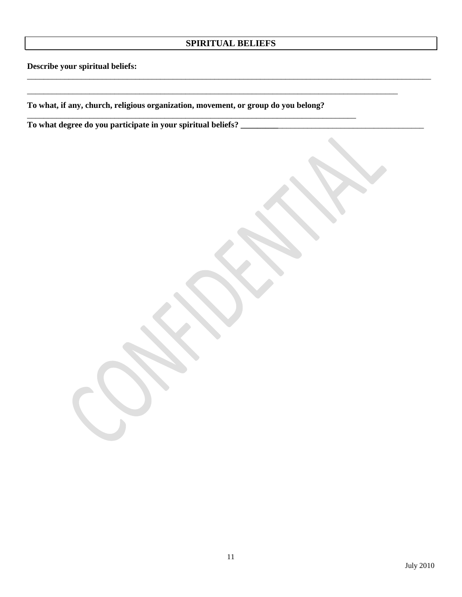## **SPIRITUAL BELIEFS**

\_\_\_\_\_\_\_\_\_\_\_\_\_\_\_\_\_\_\_\_\_\_\_\_\_\_\_\_\_\_\_\_\_\_\_\_\_\_\_\_\_\_\_\_\_\_\_\_\_\_\_\_\_\_\_\_\_\_\_\_\_\_\_\_\_\_\_\_\_\_\_\_\_\_\_\_\_\_\_\_\_\_\_\_\_\_\_\_\_\_\_\_\_\_\_\_\_

\_\_\_\_\_\_\_\_\_\_\_\_\_\_\_\_\_\_\_\_\_\_\_\_\_\_\_\_\_\_\_\_\_\_\_\_\_\_\_\_\_\_\_\_\_\_\_\_\_\_\_\_\_\_\_\_\_\_\_\_\_\_\_\_\_\_\_\_\_\_\_\_\_\_\_\_\_\_\_\_\_\_\_\_\_\_\_\_\_

**Describe your spiritual beliefs:**

**To what, if any, church, religious organization, movement, or group do you belong?**

\_\_\_\_\_\_\_\_\_\_\_\_\_\_\_\_\_\_\_\_\_\_\_\_\_\_\_\_\_\_\_\_\_\_\_\_\_\_\_\_\_\_\_\_\_\_\_\_\_\_\_\_\_\_\_\_\_\_\_\_\_\_\_\_\_\_\_\_\_\_\_\_\_\_\_\_\_\_\_

**To what degree do you participate in your spiritual beliefs? \_\_\_\_\_\_\_\_\_**\_\_\_\_\_\_\_\_\_\_\_\_\_\_\_\_\_\_\_\_\_\_\_\_\_\_\_\_\_\_\_\_\_\_\_